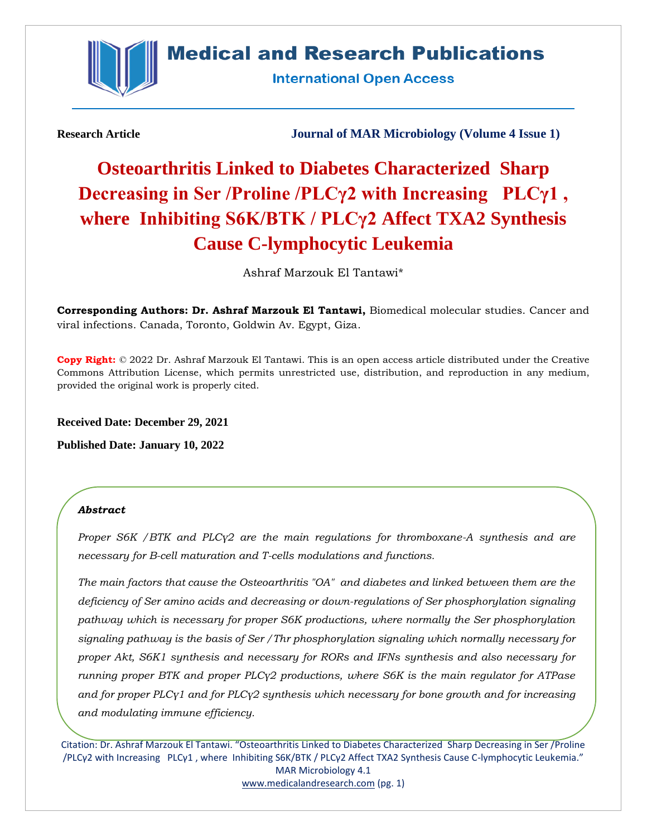

# **Medical and Research Publications**

**International Open Access** 

**Research Article Journal of MAR Microbiology (Volume 4 Issue 1)**

# **Osteoarthritis Linked to Diabetes Characterized Sharp Decreasing in Ser /Proline /PLCγ2 with Increasing PLCγ1 , where Inhibiting S6K/BTK / PLCγ2 Affect TXA2 Synthesis Cause C-lymphocytic Leukemia**

Ashraf Marzouk El Tantawi\*

**Corresponding Authors: Dr. Ashraf Marzouk El Tantawi,** Biomedical molecular studies. Cancer and viral infections. Canada, Toronto, Goldwin Av. Egypt, Giza.

**Copy Right:** © 2022 Dr. Ashraf Marzouk El Tantawi. This is an open access article distributed under the Creative Commons Attribution License, which permits unrestricted use, distribution, and reproduction in any medium, provided the original work is properly cited.

**Received Date: December 29, 2021**

**Published Date: January 10, 2022**

# *Abstract*

*Proper S6K /BTK and PLCγ2 are the main regulations for thromboxane-A synthesis and are necessary for B-cell maturation and T-cells modulations and functions.* 

*The main factors that cause the Osteoarthritis "OA" and diabetes and linked between them are the deficiency of Ser amino acids and decreasing or down-regulations of Ser phosphorylation signaling pathway which is necessary for proper S6K productions, where normally the Ser phosphorylation signaling pathway is the basis of Ser /Thr phosphorylation signaling which normally necessary for proper Akt, S6K1 synthesis and necessary for RORs and IFNs synthesis and also necessary for running proper BTK and proper PLCγ2 productions, where S6K is the main regulator for ATPase and for proper PLCγ1 and for PLCγ2 synthesis which necessary for bone growth and for increasing and modulating immune efficiency.*

Citation: Dr. Ashraf Marzouk El Tantawi. "Osteoarthritis Linked to Diabetes Characterized Sharp Decreasing in Ser /Proline /PLCγ2 with Increasing PLCγ1 , where Inhibiting S6K/BTK / PLCγ2 Affect TXA2 Synthesis Cause C-lymphocytic Leukemia." MAR Microbiology 4.1 [www.medicalandresearch.com](http://www.medicalandresearch.com/) (pg. 1)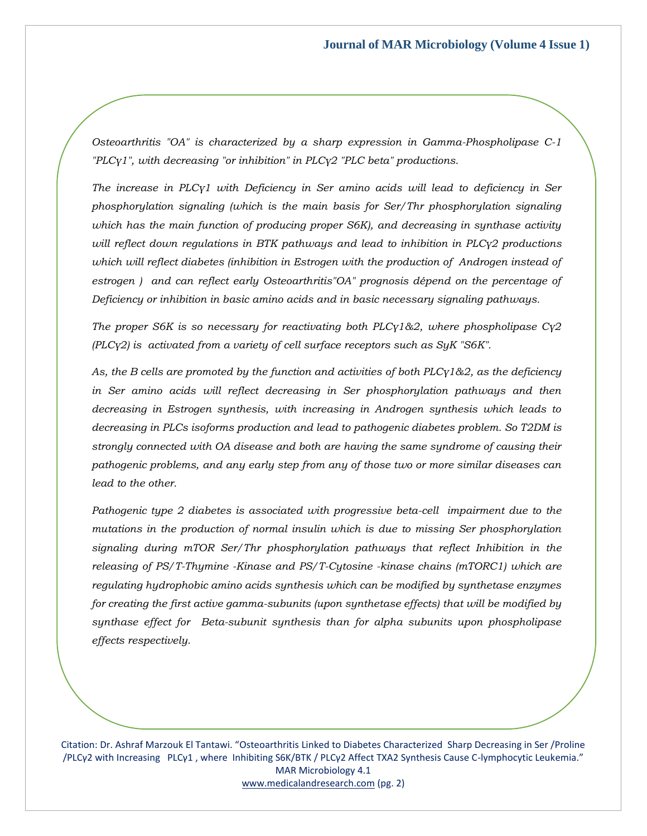*Osteoarthritis "OA" is characterized by a sharp expression in Gamma-Phospholipase C-1 "PLCγ1", with decreasing "or inhibition" in PLCγ2 "PLC beta" productions.* 

*The increase in PLCγ1 with Deficiency in Ser amino acids will lead to deficiency in Ser phosphorylation signaling (which is the main basis for Ser/Thr phosphorylation signaling which has the main function of producing proper S6K), and decreasing in synthase activity will reflect down regulations in BTK pathways and lead to inhibition in PLCγ2 productions which will reflect diabetes (inhibition in Estrogen with the production of Androgen instead of estrogen ) and can reflect early Osteoarthritis"OA" prognosis dépend on the percentage of Deficiency or inhibition in basic amino acids and in basic necessary signaling pathways.* 

*The proper S6K is so necessary for reactivating both PLCγ1&2, where phospholipase Cγ2 (PLCγ2) is activated from a variety of cell surface receptors such as SyK "S6K".* 

*As, the B cells are promoted by the function and activities of both PLCγ1&2, as the deficiency in Ser amino acids will reflect decreasing in Ser phosphorylation pathways and then decreasing in Estrogen synthesis, with increasing in Androgen synthesis which leads to decreasing in PLCs isoforms production and lead to pathogenic diabetes problem. So T2DM is strongly connected with OA disease and both are having the same syndrome of causing their pathogenic problems, and any early step from any of those two or more similar diseases can lead to the other.* 

*Pathogenic type 2 diabetes is associated with progressive beta-cell impairment due to the mutations in the production of normal insulin which is due to missing Ser phosphorylation signaling during mTOR Ser/Thr phosphorylation pathways that reflect Inhibition in the releasing of PS/T-Thymine -Kinase and PS/T-Cytosine -kinase chains (mTORC1) which are regulating hydrophobic amino acids synthesis which can be modified by synthetase enzymes for creating the first active gamma-subunits (upon synthetase effects) that will be modified by synthase effect for Beta-subunit synthesis than for alpha subunits upon phospholipase effects respectively.*

Citation: Dr. Ashraf Marzouk El Tantawi. "Osteoarthritis Linked to Diabetes Characterized Sharp Decreasing in Ser /Proline /PLCγ2 with Increasing PLCγ1 , where Inhibiting S6K/BTK / PLCγ2 Affect TXA2 Synthesis Cause C-lymphocytic Leukemia." MAR Microbiology 4.1 [www.medicalandresearch.com](http://www.medicalandresearch.com/) (pg. 2)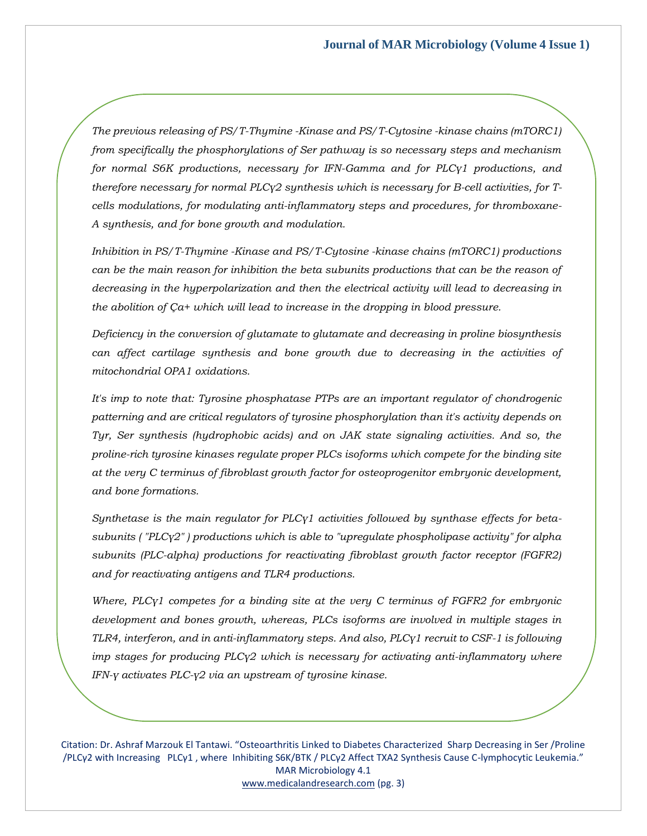*The previous releasing of PS/T-Thymine -Kinase and PS/T-Cytosine -kinase chains (mTORC1) from specifically the phosphorylations of Ser pathway is so necessary steps and mechanism for normal S6K productions, necessary for IFN-Gamma and for PLCγ1 productions, and therefore necessary for normal PLCγ2 synthesis which is necessary for B-cell activities, for Tcells modulations, for modulating anti-inflammatory steps and procedures, for thromboxane-A synthesis, and for bone growth and modulation.* 

*Inhibition in PS/T-Thymine -Kinase and PS/T-Cytosine -kinase chains (mTORC1) productions can be the main reason for inhibition the beta subunits productions that can be the reason of decreasing in the hyperpolarization and then the electrical activity will lead to decreasing in the abolition of Ça+ which will lead to increase in the dropping in blood pressure.* 

*Deficiency in the conversion of glutamate to glutamate and decreasing in proline biosynthesis can affect cartilage synthesis and bone growth due to decreasing in the activities of mitochondrial OPA1 oxidations.*

*It's imp to note that: Tyrosine phosphatase PTPs are an important regulator of chondrogenic patterning and are critical regulators of tyrosine phosphorylation than it's activity depends on Tyr, Ser synthesis (hydrophobic acids) and on JAK state signaling activities. And so, the proline-rich tyrosine kinases regulate proper PLCs isoforms which compete for the binding site at the very C terminus of fibroblast growth factor for osteoprogenitor embryonic development, and bone formations.*

*Synthetase is the main regulator for PLCγ1 activities followed by synthase effects for betasubunits ( "PLCγ2" ) productions which is able to "upregulate phospholipase activity" for alpha subunits (PLC-alpha) productions for reactivating fibroblast growth factor receptor (FGFR2) and for reactivating antigens and TLR4 productions.*

*Where, PLCγ1 competes for a binding site at the very C terminus of FGFR2 for embryonic development and bones growth, whereas, PLCs isoforms are involved in multiple stages in TLR4, interferon, and in anti-inflammatory steps. And also, PLCγ1 recruit to CSF-1 is following imp stages for producing PLCγ2 which is necessary for activating anti-inflammatory where IFN-γ activates PLC-γ2 via an upstream of tyrosine kinase.*

Citation: Dr. Ashraf Marzouk El Tantawi. "Osteoarthritis Linked to Diabetes Characterized Sharp Decreasing in Ser /Proline /PLCγ2 with Increasing PLCγ1 , where Inhibiting S6K/BTK / PLCγ2 Affect TXA2 Synthesis Cause C-lymphocytic Leukemia." MAR Microbiology 4.1 [www.medicalandresearch.com](http://www.medicalandresearch.com/) (pg. 3)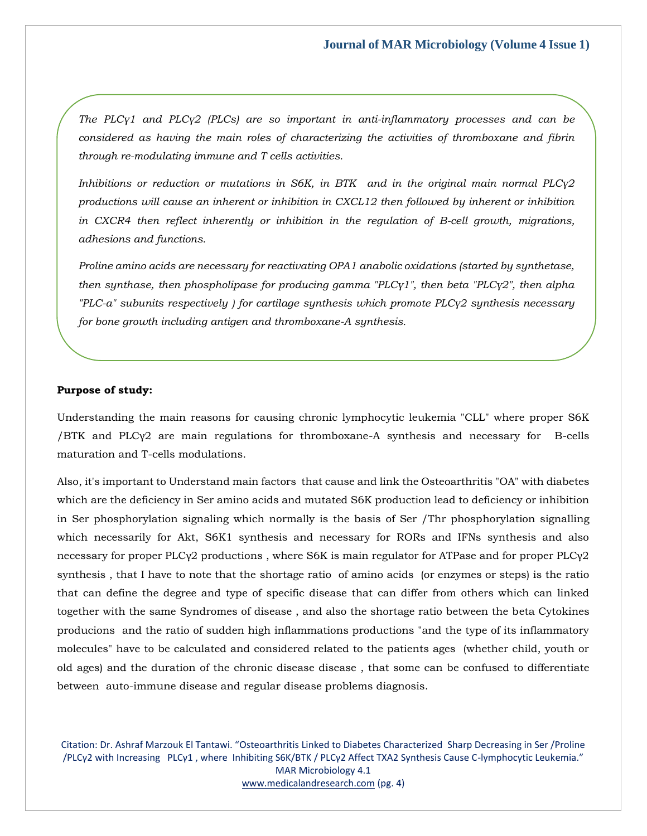*The PLCγ1 and PLCγ2 (PLCs) are so important in anti-inflammatory processes and can be considered as having the main roles of characterizing the activities of thromboxane and fibrin through re-modulating immune and T cells activities.* 

*Inhibitions or reduction or mutations in S6K, in BTK and in the original main normal PLCγ2 productions will cause an inherent or inhibition in CXCL12 then followed by inherent or inhibition in CXCR4 then reflect inherently or inhibition in the regulation of B-cell growth, migrations, adhesions and functions.* 

*Proline amino acids are necessary for reactivating OPA1 anabolic oxidations (started by synthetase, then synthase, then phospholipase for producing gamma "PLCγ1", then beta "PLCγ2", then alpha "PLC-a" subunits respectively ) for cartilage synthesis which promote PLCγ2 synthesis necessary for bone growth including antigen and thromboxane-A synthesis.*

# **Purpose of study:**

Understanding the main reasons for causing chronic lymphocytic leukemia "CLL" where proper S6K /BTK and PLCγ2 are main regulations for thromboxane-A synthesis and necessary for B-cells maturation and T-cells modulations.

Also, it's important to Understand main factors that cause and link the Osteoarthritis "OA" with diabetes which are the deficiency in Ser amino acids and mutated S6K production lead to deficiency or inhibition in Ser phosphorylation signaling which normally is the basis of Ser /Thr phosphorylation signalling which necessarily for Akt, S6K1 synthesis and necessary for RORs and IFNs synthesis and also necessary for proper PLCγ2 productions , where S6K is main regulator for ATPase and for proper PLCγ2 synthesis , that I have to note that the shortage ratio of amino acids (or enzymes or steps) is the ratio that can define the degree and type of specific disease that can differ from others which can linked together with the same Syndromes of disease , and also the shortage ratio between the beta Cytokines producions and the ratio of sudden high inflammations productions "and the type of its inflammatory molecules" have to be calculated and considered related to the patients ages (whether child, youth or old ages) and the duration of the chronic disease disease , that some can be confused to differentiate between auto-immune disease and regular disease problems diagnosis.

Citation: Dr. Ashraf Marzouk El Tantawi. "Osteoarthritis Linked to Diabetes Characterized Sharp Decreasing in Ser /Proline /PLCγ2 with Increasing PLCγ1 , where Inhibiting S6K/BTK / PLCγ2 Affect TXA2 Synthesis Cause C-lymphocytic Leukemia." MAR Microbiology 4.1 [www.medicalandresearch.com](http://www.medicalandresearch.com/) (pg. 4)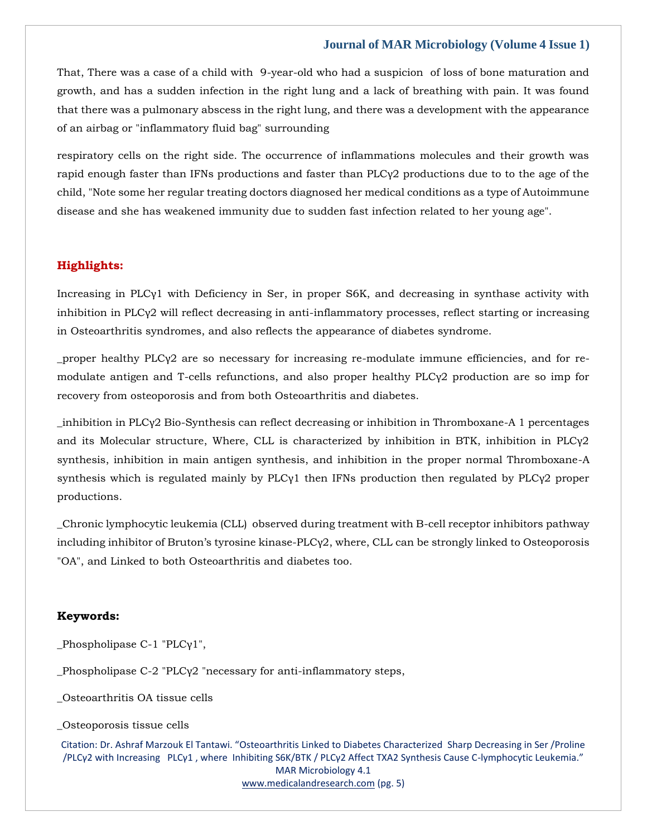That, There was a case of a child with 9-year-old who had a suspicion of loss of bone maturation and growth, and has a sudden infection in the right lung and a lack of breathing with pain. It was found that there was a pulmonary abscess in the right lung, and there was a development with the appearance of an airbag or "inflammatory fluid bag" surrounding

respiratory cells on the right side. The occurrence of inflammations molecules and their growth was rapid enough faster than IFNs productions and faster than PLCγ2 productions due to to the age of the child, "Note some her regular treating doctors diagnosed her medical conditions as a type of Autoimmune disease and she has weakened immunity due to sudden fast infection related to her young age".

# **Highlights:**

Increasing in PLCγ1 with Deficiency in Ser, in proper S6K, and decreasing in synthase activity with inhibition in PLCγ2 will reflect decreasing in anti-inflammatory processes, reflect starting or increasing in Osteoarthritis syndromes, and also reflects the appearance of diabetes syndrome.

\_proper healthy PLCγ2 are so necessary for increasing re-modulate immune efficiencies, and for remodulate antigen and T-cells refunctions, and also proper healthy PLCγ2 production are so imp for recovery from osteoporosis and from both Osteoarthritis and diabetes.

\_inhibition in PLCγ2 Bio-Synthesis can reflect decreasing or inhibition in Thromboxane-A 1 percentages and its Molecular structure, Where, CLL is characterized by inhibition in BTK, inhibition in PLCγ2 synthesis, inhibition in main antigen synthesis, and inhibition in the proper normal Thromboxane-A synthesis which is regulated mainly by PLCγ1 then IFNs production then regulated by PLCγ2 proper productions.

\_Chronic lymphocytic leukemia (CLL) observed during treatment with B-cell receptor inhibitors pathway including inhibitor of Bruton's tyrosine kinase-PLC $\gamma$ 2, where, CLL can be strongly linked to Osteoporosis "OA", and Linked to both Osteoarthritis and diabetes too.

#### **Keywords:**

\_Phospholipase C-1 "PLCγ1",

\_Phospholipase C-2 "PLCγ2 "necessary for anti-inflammatory steps,

\_Osteoarthritis OA tissue cells

\_Osteoporosis tissue cells

Citation: Dr. Ashraf Marzouk El Tantawi. "Osteoarthritis Linked to Diabetes Characterized Sharp Decreasing in Ser /Proline /PLCγ2 with Increasing PLCγ1 , where Inhibiting S6K/BTK / PLCγ2 Affect TXA2 Synthesis Cause C-lymphocytic Leukemia." MAR Microbiology 4.1 [www.medicalandresearch.com](http://www.medicalandresearch.com/) (pg. 5)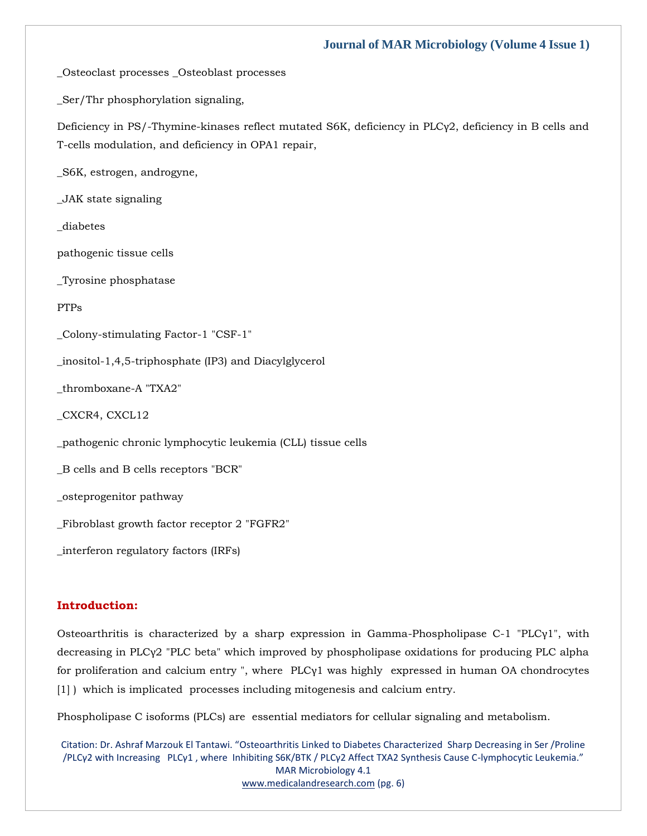\_Osteoclast processes \_Osteoblast processes

\_Ser/Thr phosphorylation signaling,

Deficiency in PS/-Thymine-kinases reflect mutated S6K, deficiency in PLCγ2, deficiency in B cells and T-cells modulation, and deficiency in OPA1 repair,

\_S6K, estrogen, androgyne,

\_JAK state signaling

\_diabetes

pathogenic tissue cells

\_Tyrosine phosphatase

PTPs

\_Colony-stimulating Factor-1 "CSF-1"

\_inositol-1,4,5-triphosphate (IP3) and Diacylglycerol

\_thromboxane-A "TXA2"

\_CXCR4, CXCL12

\_pathogenic chronic lymphocytic leukemia (CLL) tissue cells

\_B cells and B cells receptors "BCR"

\_osteprogenitor pathway

\_Fibroblast growth factor receptor 2 "FGFR2"

\_interferon regulatory factors (IRFs)

# **Introduction:**

Osteoarthritis is characterized by a sharp expression in Gamma-Phospholipase C-1 "PLCγ1", with decreasing in PLCγ2 "PLC beta" which improved by phospholipase oxidations for producing PLC alpha for proliferation and calcium entry ", where PLCγ1 was highly expressed in human OA chondrocytes [1] ) which is implicated processes including mitogenesis and calcium entry.

Phospholipase C isoforms (PLCs) are essential mediators for cellular signaling and metabolism.

Citation: Dr. Ashraf Marzouk El Tantawi. "Osteoarthritis Linked to Diabetes Characterized Sharp Decreasing in Ser /Proline /PLCγ2 with Increasing PLCγ1 , where Inhibiting S6K/BTK / PLCγ2 Affect TXA2 Synthesis Cause C-lymphocytic Leukemia." MAR Microbiology 4.1 [www.medicalandresearch.com](http://www.medicalandresearch.com/) (pg. 6)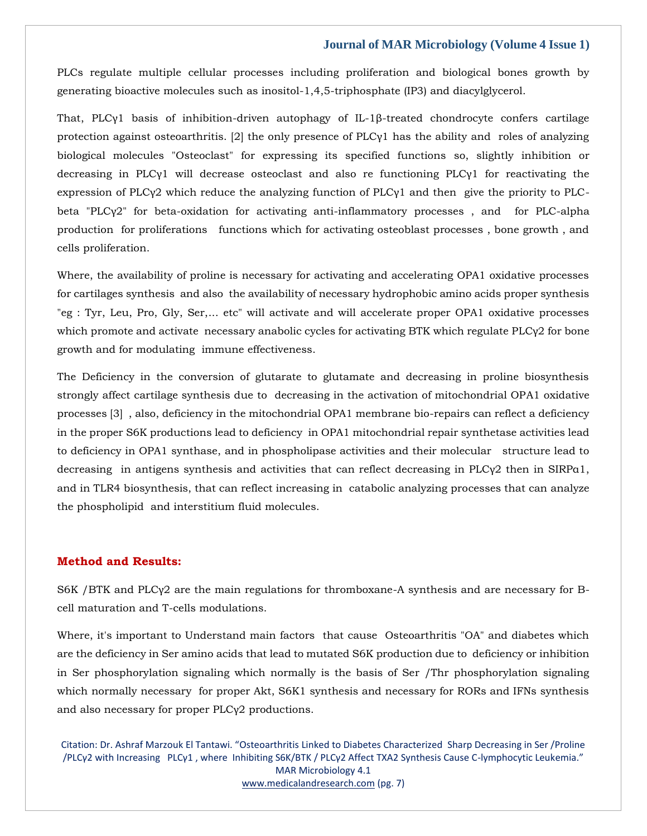PLCs regulate multiple cellular processes including proliferation and biological bones growth by generating bioactive molecules such as inositol-1,4,5-triphosphate (IP3) and diacylglycerol.

That, PLCγ1 basis of inhibition-driven autophagy of IL-1β-treated chondrocyte confers cartilage protection against osteoarthritis. [2] the only presence of PLCγ1 has the ability and roles of analyzing biological molecules "Osteoclast" for expressing its specified functions so, slightly inhibition or decreasing in PLCγ1 will decrease osteoclast and also re functioning PLCγ1 for reactivating the expression of PLC $\gamma$ 2 which reduce the analyzing function of PLC $\gamma$ 1 and then give the priority to PLCbeta "PLCγ2" for beta-oxidation for activating anti-inflammatory processes , and for PLC-alpha production for proliferations functions which for activating osteoblast processes , bone growth , and cells proliferation.

Where, the availability of proline is necessary for activating and accelerating OPA1 oxidative processes for cartilages synthesis and also the availability of necessary hydrophobic amino acids proper synthesis "eg : Tyr, Leu, Pro, Gly, Ser,... etc" will activate and will accelerate proper OPA1 oxidative processes which promote and activate necessary anabolic cycles for activating BTK which regulate PLCγ2 for bone growth and for modulating immune effectiveness.

The Deficiency in the conversion of glutarate to glutamate and decreasing in proline biosynthesis strongly affect cartilage synthesis due to decreasing in the activation of mitochondrial OPA1 oxidative processes [3] , also, deficiency in the mitochondrial OPA1 membrane bio-repairs can reflect a deficiency in the proper S6K productions lead to deficiency in OPA1 mitochondrial repair synthetase activities lead to deficiency in OPA1 synthase, and in phospholipase activities and their molecular structure lead to decreasing in antigens synthesis and activities that can reflect decreasing in PLCγ2 then in SIRPα1, and in TLR4 biosynthesis, that can reflect increasing in catabolic analyzing processes that can analyze the phospholipid and interstitium fluid molecules.

#### **Method and Results:**

S6K /BTK and PLCγ2 are the main regulations for thromboxane-A synthesis and are necessary for Bcell maturation and T-cells modulations.

Where, it's important to Understand main factors that cause Osteoarthritis "OA" and diabetes which are the deficiency in Ser amino acids that lead to mutated S6K production due to deficiency or inhibition in Ser phosphorylation signaling which normally is the basis of Ser /Thr phosphorylation signaling which normally necessary for proper Akt, S6K1 synthesis and necessary for RORs and IFNs synthesis and also necessary for proper PLCγ2 productions.

Citation: Dr. Ashraf Marzouk El Tantawi. "Osteoarthritis Linked to Diabetes Characterized Sharp Decreasing in Ser /Proline /PLCγ2 with Increasing PLCγ1 , where Inhibiting S6K/BTK / PLCγ2 Affect TXA2 Synthesis Cause C-lymphocytic Leukemia." MAR Microbiology 4.1 [www.medicalandresearch.com](http://www.medicalandresearch.com/) (pg. 7)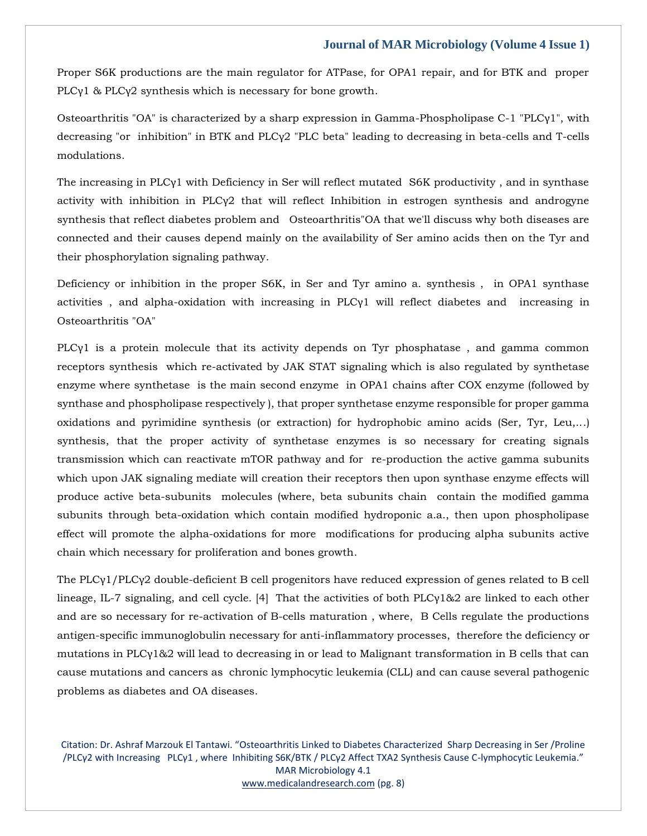Proper S6K productions are the main regulator for ATPase, for OPA1 repair, and for BTK and proper PLCγ1 & PLCγ2 synthesis which is necessary for bone growth.

Osteoarthritis "OA" is characterized by a sharp expression in Gamma-Phospholipase C-1 "PLCγ1", with decreasing "or inhibition" in BTK and PLCγ2 "PLC beta" leading to decreasing in beta-cells and T-cells modulations.

The increasing in PLCγ1 with Deficiency in Ser will reflect mutated S6K productivity, and in synthase activity with inhibition in PLCγ2 that will reflect Inhibition in estrogen synthesis and androgyne synthesis that reflect diabetes problem and Osteoarthritis"OA that we'll discuss why both diseases are connected and their causes depend mainly on the availability of Ser amino acids then on the Tyr and their phosphorylation signaling pathway.

Deficiency or inhibition in the proper S6K, in Ser and Tyr amino a. synthesis , in OPA1 synthase activities , and alpha-oxidation with increasing in PLCγ1 will reflect diabetes and increasing in Osteoarthritis "OA"

PLCγ1 is a protein molecule that its activity depends on Tyr phosphatase , and gamma common receptors synthesis which re-activated by JAK STAT signaling which is also regulated by synthetase enzyme where synthetase is the main second enzyme in OPA1 chains after COX enzyme (followed by synthase and phospholipase respectively ), that proper synthetase enzyme responsible for proper gamma oxidations and pyrimidine synthesis (or extraction) for hydrophobic amino acids (Ser, Tyr, Leu,...) synthesis, that the proper activity of synthetase enzymes is so necessary for creating signals transmission which can reactivate mTOR pathway and for re-production the active gamma subunits which upon JAK signaling mediate will creation their receptors then upon synthase enzyme effects will produce active beta-subunits molecules (where, beta subunits chain contain the modified gamma subunits through beta-oxidation which contain modified hydroponic a.a., then upon phospholipase effect will promote the alpha-oxidations for more modifications for producing alpha subunits active chain which necessary for proliferation and bones growth.

The PLCγ1/PLCγ2 double-deficient B cell progenitors have reduced expression of genes related to B cell lineage, IL-7 signaling, and cell cycle. [4] That the activities of both PLCγ1&2 are linked to each other and are so necessary for re-activation of B-cells maturation , where, B Cells regulate the productions antigen-specific immunoglobulin necessary for anti-inflammatory processes, therefore the deficiency or mutations in PLCγ1&2 will lead to decreasing in or lead to Malignant transformation in B cells that can cause mutations and cancers as chronic lymphocytic leukemia (CLL) and can cause several pathogenic problems as diabetes and OA diseases.

Citation: Dr. Ashraf Marzouk El Tantawi. "Osteoarthritis Linked to Diabetes Characterized Sharp Decreasing in Ser /Proline /PLCγ2 with Increasing PLCγ1 , where Inhibiting S6K/BTK / PLCγ2 Affect TXA2 Synthesis Cause C-lymphocytic Leukemia." MAR Microbiology 4.1 [www.medicalandresearch.com](http://www.medicalandresearch.com/) (pg. 8)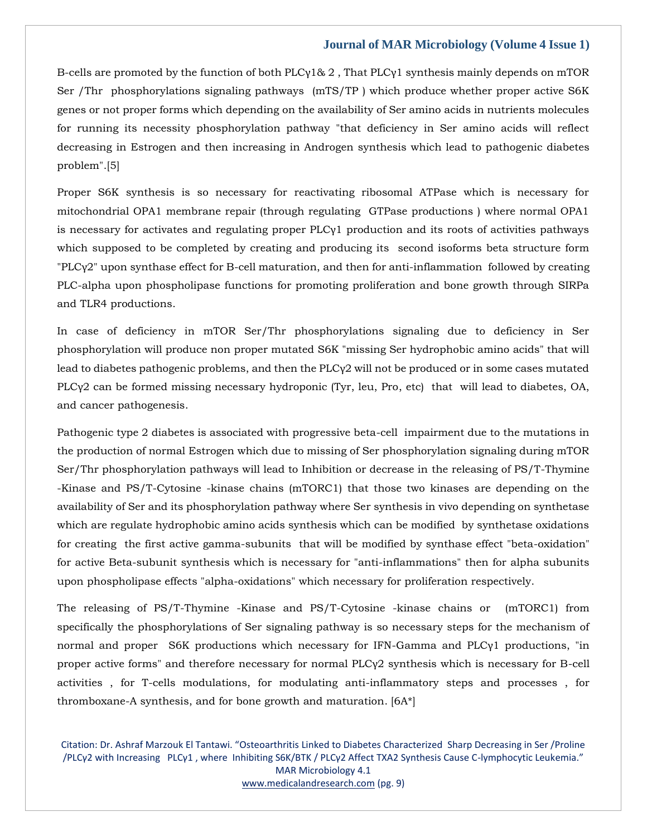B-cells are promoted by the function of both PLCγ1& 2 , That PLCγ1 synthesis mainly depends on mTOR Ser /Thr phosphorylations signaling pathways (mTS/TP ) which produce whether proper active S6K genes or not proper forms which depending on the availability of Ser amino acids in nutrients molecules for running its necessity phosphorylation pathway "that deficiency in Ser amino acids will reflect decreasing in Estrogen and then increasing in Androgen synthesis which lead to pathogenic diabetes problem".[5]

Proper S6K synthesis is so necessary for reactivating ribosomal ATPase which is necessary for mitochondrial OPA1 membrane repair (through regulating GTPase productions ) where normal OPA1 is necessary for activates and regulating proper PLCγ1 production and its roots of activities pathways which supposed to be completed by creating and producing its second isoforms beta structure form "PLCγ2" upon synthase effect for B-cell maturation, and then for anti-inflammation followed by creating PLC-alpha upon phospholipase functions for promoting proliferation and bone growth through SIRPa and TLR4 productions.

In case of deficiency in mTOR Ser/Thr phosphorylations signaling due to deficiency in Ser phosphorylation will produce non proper mutated S6K "missing Ser hydrophobic amino acids" that will lead to diabetes pathogenic problems, and then the  $PLC\gamma2$  will not be produced or in some cases mutated PLCγ2 can be formed missing necessary hydroponic (Tyr, leu, Pro, etc) that will lead to diabetes, OA, and cancer pathogenesis.

Pathogenic type 2 diabetes is associated with progressive beta-cell impairment due to the mutations in the production of normal Estrogen which due to missing of Ser phosphorylation signaling during mTOR Ser/Thr phosphorylation pathways will lead to Inhibition or decrease in the releasing of PS/T-Thymine -Kinase and PS/T-Cytosine -kinase chains (mTORC1) that those two kinases are depending on the availability of Ser and its phosphorylation pathway where Ser synthesis in vivo depending on synthetase which are regulate hydrophobic amino acids synthesis which can be modified by synthetase oxidations for creating the first active gamma-subunits that will be modified by synthase effect "beta-oxidation" for active Beta-subunit synthesis which is necessary for "anti-inflammations" then for alpha subunits upon phospholipase effects "alpha-oxidations" which necessary for proliferation respectively.

The releasing of PS/T-Thymine -Kinase and PS/T-Cytosine -kinase chains or (mTORC1) from specifically the phosphorylations of Ser signaling pathway is so necessary steps for the mechanism of normal and proper S6K productions which necessary for IFN-Gamma and PLCγ1 productions, "in proper active forms" and therefore necessary for normal PLCγ2 synthesis which is necessary for B-cell activities , for T-cells modulations, for modulating anti-inflammatory steps and processes , for thromboxane-A synthesis, and for bone growth and maturation. [6A\*]

Citation: Dr. Ashraf Marzouk El Tantawi. "Osteoarthritis Linked to Diabetes Characterized Sharp Decreasing in Ser /Proline /PLCγ2 with Increasing PLCγ1 , where Inhibiting S6K/BTK / PLCγ2 Affect TXA2 Synthesis Cause C-lymphocytic Leukemia." MAR Microbiology 4.1 [www.medicalandresearch.com](http://www.medicalandresearch.com/) (pg. 9)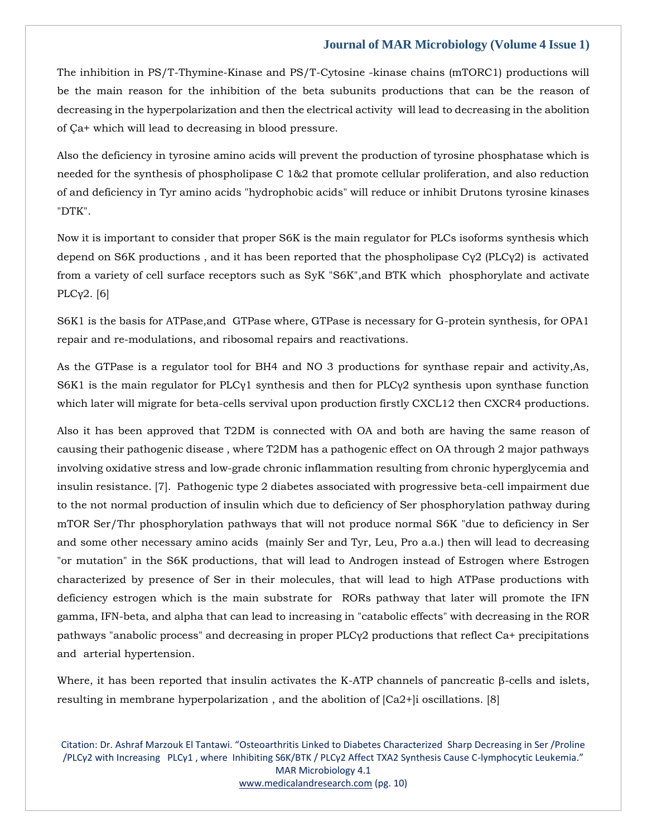The inhibition in PS/T-Thymine-Kinase and PS/T-Cytosine -kinase chains (mTORC1) productions will be the main reason for the inhibition of the beta subunits productions that can be the reason of decreasing in the hyperpolarization and then the electrical activity will lead to decreasing in the abolition of Ça+ which will lead to decreasing in blood pressure.

Also the deficiency in tyrosine amino acids will prevent the production of tyrosine phosphatase which is needed for the synthesis of phospholipase C 1&2 that promote cellular proliferation, and also reduction of and deficiency in Tyr amino acids "hydrophobic acids" will reduce or inhibit Drutons tyrosine kinases "DTK".

Now it is important to consider that proper S6K is the main regulator for PLCs isoforms synthesis which depend on S6K productions , and it has been reported that the phospholipase Cγ2 (PLCγ2) is activated from a variety of cell surface receptors such as SyK "S6K",and BTK which phosphorylate and activate PLCγ2. [6]

S6K1 is the basis for ATPase,and GTPase where, GTPase is necessary for G-protein synthesis, for OPA1 repair and re-modulations, and ribosomal repairs and reactivations.

As the GTPase is a regulator tool for BH4 and NO 3 productions for synthase repair and activity,As, S6K1 is the main regulator for PLCγ1 synthesis and then for PLCγ2 synthesis upon synthase function which later will migrate for beta-cells servival upon production firstly CXCL12 then CXCR4 productions.

Also it has been approved that T2DM is connected with OA and both are having the same reason of causing their pathogenic disease , where T2DM has a pathogenic effect on OA through 2 major pathways involving oxidative stress and low-grade chronic inflammation resulting from chronic hyperglycemia and insulin resistance. [7]. Pathogenic type 2 diabetes associated with progressive beta-cell impairment due to the not normal production of insulin which due to deficiency of Ser phosphorylation pathway during mTOR Ser/Thr phosphorylation pathways that will not produce normal S6K "due to deficiency in Ser and some other necessary amino acids (mainly Ser and Tyr, Leu, Pro a.a.) then will lead to decreasing "or mutation" in the S6K productions, that will lead to Androgen instead of Estrogen where Estrogen characterized by presence of Ser in their molecules, that will lead to high ATPase productions with deficiency estrogen which is the main substrate for RORs pathway that later will promote the IFN gamma, IFN-beta, and alpha that can lead to increasing in "catabolic effects" with decreasing in the ROR pathways "anabolic process" and decreasing in proper PLCγ2 productions that reflect Ca+ precipitations and arterial hypertension.

Where, it has been reported that insulin activates the K-ATP channels of pancreatic β-cells and islets, resulting in membrane hyperpolarization , and the abolition of [Ca2+]i oscillations. [8]

Citation: Dr. Ashraf Marzouk El Tantawi. "Osteoarthritis Linked to Diabetes Characterized Sharp Decreasing in Ser /Proline /PLCγ2 with Increasing PLCγ1 , where Inhibiting S6K/BTK / PLCγ2 Affect TXA2 Synthesis Cause C-lymphocytic Leukemia." MAR Microbiology 4.1 [www.medicalandresearch.com](http://www.medicalandresearch.com/) (pg. 10)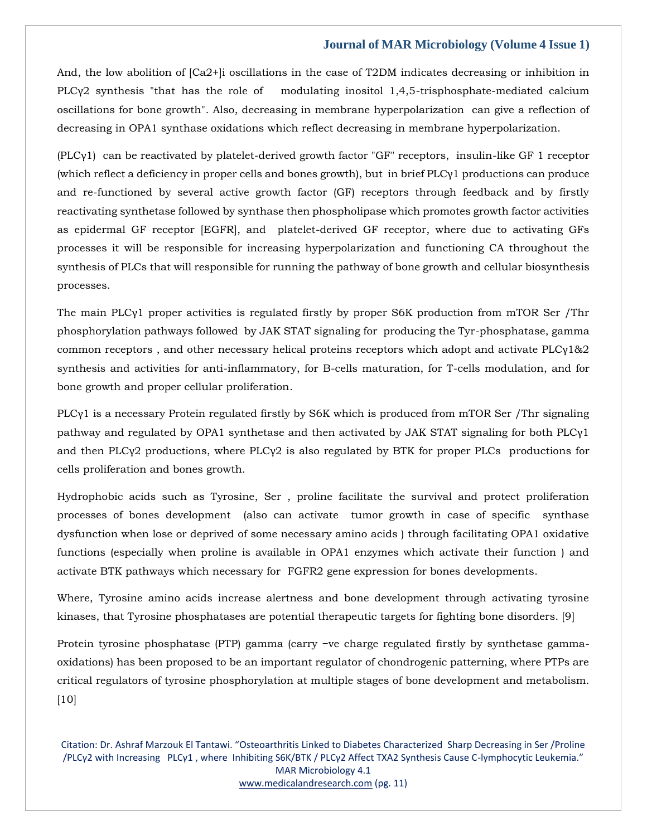And, the low abolition of  $[Ca2+]$  oscillations in the case of T2DM indicates decreasing or inhibition in PLCγ2 synthesis "that has the role of modulating inositol 1,4,5-trisphosphate-mediated calcium oscillations for bone growth". Also, decreasing in membrane hyperpolarization can give a reflection of decreasing in OPA1 synthase oxidations which reflect decreasing in membrane hyperpolarization.

(PLCγ1) can be reactivated by platelet-derived growth factor "GF" receptors, insulin-like GF 1 receptor (which reflect a deficiency in proper cells and bones growth), but in brief PLCγ1 productions can produce and re-functioned by several active growth factor (GF) receptors through feedback and by firstly reactivating synthetase followed by synthase then phospholipase which promotes growth factor activities as epidermal GF receptor [EGFR], and platelet-derived GF receptor, where due to activating GFs processes it will be responsible for increasing hyperpolarization and functioning CA throughout the synthesis of PLCs that will responsible for running the pathway of bone growth and cellular biosynthesis processes.

The main PLCγ1 proper activities is regulated firstly by proper S6K production from mTOR Ser /Thr phosphorylation pathways followed by JAK STAT signaling for producing the Tyr-phosphatase, gamma common receptors , and other necessary helical proteins receptors which adopt and activate PLCγ1&2 synthesis and activities for anti-inflammatory, for B-cells maturation, for T-cells modulation, and for bone growth and proper cellular proliferation.

PLCγ1 is a necessary Protein regulated firstly by S6K which is produced from mTOR Ser /Thr signaling pathway and regulated by OPA1 synthetase and then activated by JAK STAT signaling for both PLCγ1 and then PLCγ2 productions, where PLCγ2 is also regulated by BTK for proper PLCs productions for cells proliferation and bones growth.

Hydrophobic acids such as Tyrosine, Ser , proline facilitate the survival and protect proliferation processes of bones development (also can activate tumor growth in case of specific synthase dysfunction when lose or deprived of some necessary amino acids ) through facilitating OPA1 oxidative functions (especially when proline is available in OPA1 enzymes which activate their function ) and activate BTK pathways which necessary for FGFR2 gene expression for bones developments.

Where, Tyrosine amino acids increase alertness and bone development through activating tyrosine kinases, that Tyrosine phosphatases are potential therapeutic targets for fighting bone disorders. [9]

Protein tyrosine phosphatase (PTP) gamma (carry −ve charge regulated firstly by synthetase gammaoxidations) has been proposed to be an important regulator of chondrogenic patterning, where PTPs are critical regulators of tyrosine phosphorylation at multiple stages of bone development and metabolism. [10]

Citation: Dr. Ashraf Marzouk El Tantawi. "Osteoarthritis Linked to Diabetes Characterized Sharp Decreasing in Ser /Proline /PLCγ2 with Increasing PLCγ1 , where Inhibiting S6K/BTK / PLCγ2 Affect TXA2 Synthesis Cause C-lymphocytic Leukemia." MAR Microbiology 4.1 [www.medicalandresearch.com](http://www.medicalandresearch.com/) (pg. 11)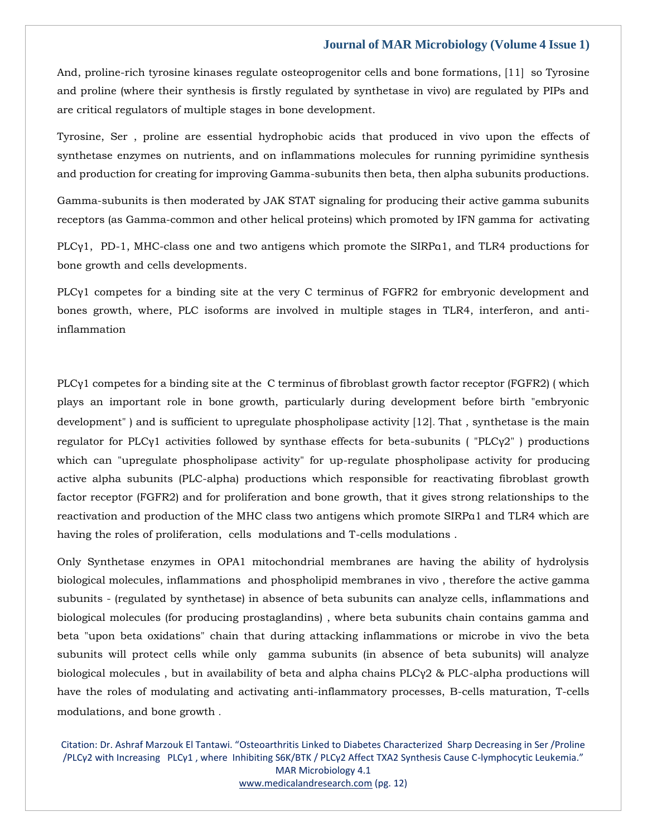And, proline-rich tyrosine kinases regulate osteoprogenitor cells and bone formations, [11] so Tyrosine and proline (where their synthesis is firstly regulated by synthetase in vivo) are regulated by PIPs and are critical regulators of multiple stages in bone development.

Tyrosine, Ser , proline are essential hydrophobic acids that produced in vivo upon the effects of synthetase enzymes on nutrients, and on inflammations molecules for running pyrimidine synthesis and production for creating for improving Gamma-subunits then beta, then alpha subunits productions.

Gamma-subunits is then moderated by JAK STAT signaling for producing their active gamma subunits receptors (as Gamma-common and other helical proteins) which promoted by IFN gamma for activating

PLCγ1, PD-1, MHC-class one and two antigens which promote the SIRPα1, and TLR4 productions for bone growth and cells developments.

PLCγ1 competes for a binding site at the very C terminus of FGFR2 for embryonic development and bones growth, where, PLC isoforms are involved in multiple stages in TLR4, interferon, and antiinflammation

PLCγ1 competes for a binding site at the C terminus of fibroblast growth factor receptor (FGFR2) ( which plays an important role in bone growth, particularly during development before birth "embryonic development" ) and is sufficient to upregulate phospholipase activity [12]. That , synthetase is the main regulator for PLCγ1 activities followed by synthase effects for beta-subunits ( "PLCγ2" ) productions which can "upregulate phospholipase activity" for up-regulate phospholipase activity for producing active alpha subunits (PLC-alpha) productions which responsible for reactivating fibroblast growth factor receptor (FGFR2) and for proliferation and bone growth, that it gives strong relationships to the reactivation and production of the MHC class two antigens which promote SIRPα1 and TLR4 which are having the roles of proliferation, cells modulations and T-cells modulations .

Only Synthetase enzymes in OPA1 mitochondrial membranes are having the ability of hydrolysis biological molecules, inflammations and phospholipid membranes in vivo , therefore the active gamma subunits - (regulated by synthetase) in absence of beta subunits can analyze cells, inflammations and biological molecules (for producing prostaglandins) , where beta subunits chain contains gamma and beta "upon beta oxidations" chain that during attacking inflammations or microbe in vivo the beta subunits will protect cells while only gamma subunits (in absence of beta subunits) will analyze biological molecules , but in availability of beta and alpha chains PLCγ2 & PLC-alpha productions will have the roles of modulating and activating anti-inflammatory processes, B-cells maturation, T-cells modulations, and bone growth .

Citation: Dr. Ashraf Marzouk El Tantawi. "Osteoarthritis Linked to Diabetes Characterized Sharp Decreasing in Ser /Proline /PLCγ2 with Increasing PLCγ1 , where Inhibiting S6K/BTK / PLCγ2 Affect TXA2 Synthesis Cause C-lymphocytic Leukemia." MAR Microbiology 4.1 [www.medicalandresearch.com](http://www.medicalandresearch.com/) (pg. 12)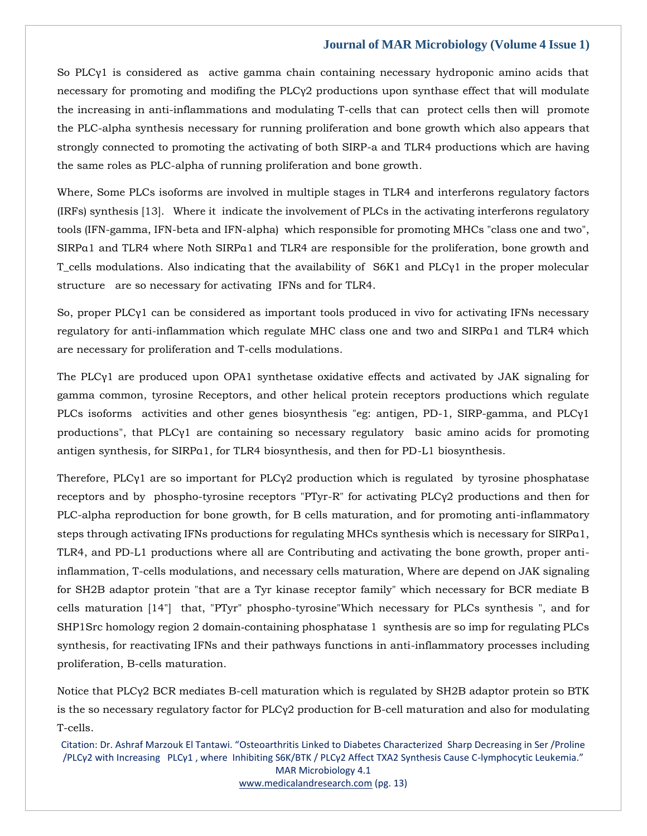So PLCγ1 is considered as active gamma chain containing necessary hydroponic amino acids that necessary for promoting and modifing the PLCγ2 productions upon synthase effect that will modulate the increasing in anti-inflammations and modulating T-cells that can protect cells then will promote the PLC-alpha synthesis necessary for running proliferation and bone growth which also appears that strongly connected to promoting the activating of both SIRP-a and TLR4 productions which are having the same roles as PLC-alpha of running proliferation and bone growth.

Where, Some PLCs isoforms are involved in multiple stages in TLR4 and interferons regulatory factors (IRFs) synthesis [13]. Where it indicate the involvement of PLCs in the activating interferons regulatory tools (IFN-gamma, IFN-beta and IFN-alpha) which responsible for promoting MHCs "class one and two", SIRPα1 and TLR4 where Noth SIRPα1 and TLR4 are responsible for the proliferation, bone growth and T\_cells modulations. Also indicating that the availability of  $S6K1$  and PLC $\gamma$ 1 in the proper molecular structure are so necessary for activating IFNs and for TLR4.

So, proper PLCγ1 can be considered as important tools produced in vivo for activating IFNs necessary regulatory for anti-inflammation which regulate MHC class one and two and SIRPα1 and TLR4 which are necessary for proliferation and T-cells modulations.

The PLCγ1 are produced upon OPA1 synthetase oxidative effects and activated by JAK signaling for gamma common, tyrosine Receptors, and other helical protein receptors productions which regulate PLCs isoforms activities and other genes biosynthesis "eg: antigen, PD-1, SIRP-gamma, and PLCγ1 productions", that PLCγ1 are containing so necessary regulatory basic amino acids for promoting antigen synthesis, for SIRPα1, for TLR4 biosynthesis, and then for PD-L1 biosynthesis.

Therefore, PLCγ1 are so important for PLCγ2 production which is regulated by tyrosine phosphatase receptors and by phospho-tyrosine receptors "PTyr-R" for activating PLCγ2 productions and then for PLC-alpha reproduction for bone growth, for B cells maturation, and for promoting anti-inflammatory steps through activating IFNs productions for regulating MHCs synthesis which is necessary for SIRPα1, TLR4, and PD-L1 productions where all are Contributing and activating the bone growth, proper antiinflammation, T-cells modulations, and necessary cells maturation, Where are depend on JAK signaling for SH2B adaptor protein "that are a Tyr kinase receptor family" which necessary for BCR mediate B cells maturation [14"] that, "PTyr" phospho-tyrosine"Which necessary for PLCs synthesis ", and for SHP1Src homology region 2 domain-containing phosphatase 1 synthesis are so imp for regulating PLCs synthesis, for reactivating IFNs and their pathways functions in anti-inflammatory processes including proliferation, B-cells maturation.

Notice that PLCγ2 BCR mediates B-cell maturation which is regulated by SH2B adaptor protein so BTK is the so necessary regulatory factor for PLCγ2 production for B-cell maturation and also for modulating T-cells.

Citation: Dr. Ashraf Marzouk El Tantawi. "Osteoarthritis Linked to Diabetes Characterized Sharp Decreasing in Ser /Proline /PLCγ2 with Increasing PLCγ1 , where Inhibiting S6K/BTK / PLCγ2 Affect TXA2 Synthesis Cause C-lymphocytic Leukemia." MAR Microbiology 4.1 [www.medicalandresearch.com](http://www.medicalandresearch.com/) (pg. 13)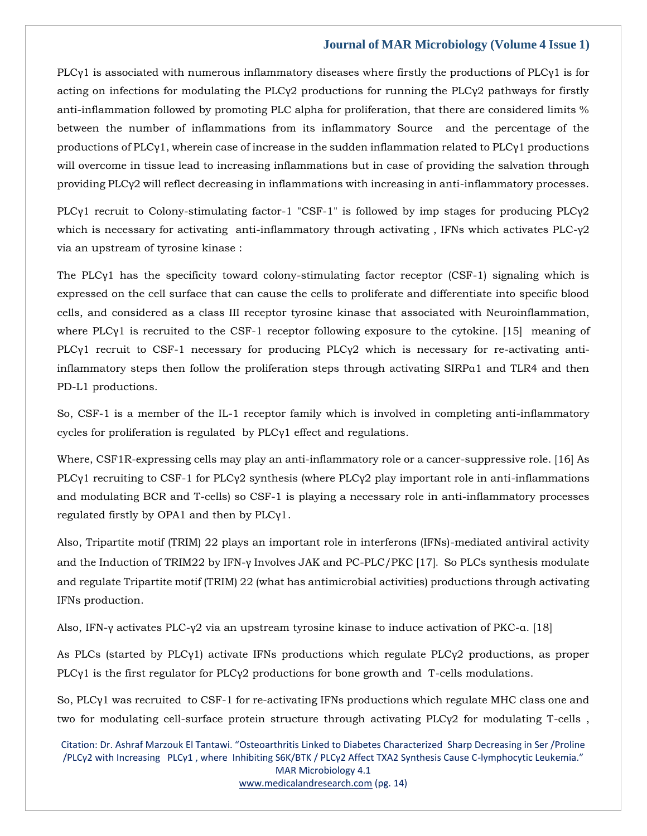PLCγ1 is associated with numerous inflammatory diseases where firstly the productions of PLCγ1 is for acting on infections for modulating the PLC $\gamma$ 2 productions for running the PLC $\gamma$ 2 pathways for firstly anti-inflammation followed by promoting PLC alpha for proliferation, that there are considered limits % between the number of inflammations from its inflammatory Source and the percentage of the productions of PLCγ1, wherein case of increase in the sudden inflammation related to PLCγ1 productions will overcome in tissue lead to increasing inflammations but in case of providing the salvation through providing PLCγ2 will reflect decreasing in inflammations with increasing in anti-inflammatory processes.

PLCγ1 recruit to Colony-stimulating factor-1 "CSF-1" is followed by imp stages for producing PLCγ2 which is necessary for activating anti-inflammatory through activating, IFNs which activates PLC-γ2 via an upstream of tyrosine kinase :

The PLCγ1 has the specificity toward colony-stimulating factor receptor (CSF-1) signaling which is expressed on the cell surface that can cause the cells to proliferate and differentiate into specific blood cells, and considered as a class III receptor tyrosine kinase that associated with Neuroinflammation, where PLCγ1 is recruited to the CSF-1 receptor following exposure to the cytokine. [15] meaning of PLCγ1 recruit to CSF-1 necessary for producing PLCγ2 which is necessary for re-activating antiinflammatory steps then follow the proliferation steps through activating SIRPα1 and TLR4 and then PD-L1 productions.

So, CSF-1 is a member of the IL-1 receptor family which is involved in completing anti-inflammatory cycles for proliferation is regulated by PLCγ1 effect and regulations.

Where, CSF1R-expressing cells may play an anti-inflammatory role or a cancer-suppressive role. [16] As PLCγ1 recruiting to CSF-1 for PLCγ2 synthesis (where PLCγ2 play important role in anti-inflammations and modulating BCR and T-cells) so CSF-1 is playing a necessary role in anti-inflammatory processes regulated firstly by OPA1 and then by PLCγ1.

Also, Tripartite motif (TRIM) 22 plays an important role in interferons (IFNs)-mediated antiviral activity and the Induction of TRIM22 by IFN-γ Involves JAK and PC-PLC/PKC [17]. So PLCs synthesis modulate and regulate Tripartite motif (TRIM) 22 (what has antimicrobial activities) productions through activating IFNs production.

Also, IFN-γ activates PLC-γ2 via an upstream tyrosine kinase to induce activation of PKC-α. [18]

As PLCs (started by PLCγ1) activate IFNs productions which regulate PLCγ2 productions, as proper PLCγ1 is the first regulator for PLCγ2 productions for bone growth and T-cells modulations.

So, PLCγ1 was recruited to CSF-1 for re-activating IFNs productions which regulate MHC class one and two for modulating cell-surface protein structure through activating PLCγ2 for modulating T-cells ,

Citation: Dr. Ashraf Marzouk El Tantawi. "Osteoarthritis Linked to Diabetes Characterized Sharp Decreasing in Ser /Proline /PLCγ2 with Increasing PLCγ1 , where Inhibiting S6K/BTK / PLCγ2 Affect TXA2 Synthesis Cause C-lymphocytic Leukemia." MAR Microbiology 4.1 [www.medicalandresearch.com](http://www.medicalandresearch.com/) (pg. 14)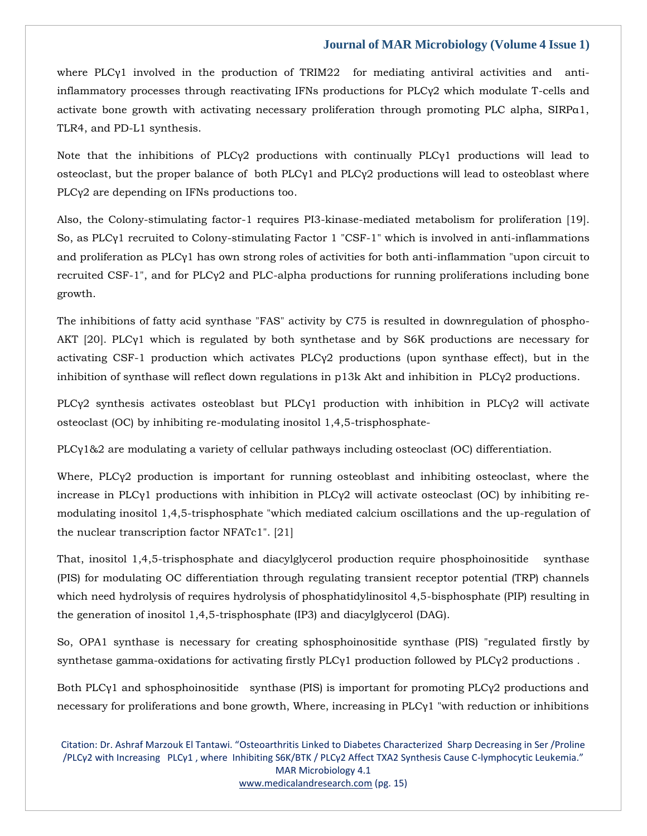where PLCγ1 involved in the production of TRIM22 for mediating antiviral activities and antiinflammatory processes through reactivating IFNs productions for  $PLC<sub>Y</sub>2$  which modulate T-cells and activate bone growth with activating necessary proliferation through promoting PLC alpha, SIRPα1, TLR4, and PD-L1 synthesis.

Note that the inhibitions of PLCγ2 productions with continually PLCγ1 productions will lead to osteoclast, but the proper balance of both PLCγ1 and PLCγ2 productions will lead to osteoblast where PLCγ2 are depending on IFNs productions too.

Also, the Colony-stimulating factor-1 requires PI3-kinase-mediated metabolism for proliferation [19]. So, as PLCγ1 recruited to Colony-stimulating Factor 1 "CSF-1" which is involved in anti-inflammations and proliferation as PLCγ1 has own strong roles of activities for both anti-inflammation "upon circuit to recruited CSF-1", and for PLCγ2 and PLC-alpha productions for running proliferations including bone growth.

The inhibitions of fatty acid synthase "FAS" activity by C75 is resulted in downregulation of phospho-AKT [20]. PLCγ1 which is regulated by both synthetase and by S6K productions are necessary for activating CSF-1 production which activates PLCγ2 productions (upon synthase effect), but in the inhibition of synthase will reflect down regulations in p13k Akt and inhibition in PLCγ2 productions.

PLCγ2 synthesis activates osteoblast but PLCγ1 production with inhibition in PLCγ2 will activate osteoclast (OC) by inhibiting re-modulating inositol 1,4,5-trisphosphate-

PLCγ1&2 are modulating a variety of cellular pathways including osteoclast (OC) differentiation.

Where, PLCγ2 production is important for running osteoblast and inhibiting osteoclast, where the increase in PLCγ1 productions with inhibition in PLCγ2 will activate osteoclast (OC) by inhibiting remodulating inositol 1,4,5-trisphosphate "which mediated calcium oscillations and the up-regulation of the nuclear transcription factor NFATc1". [21]

That, inositol 1,4,5-trisphosphate and diacylglycerol production require phosphoinositide synthase (PIS) for modulating OC differentiation through regulating transient receptor potential (TRP) channels which need hydrolysis of requires hydrolysis of phosphatidylinositol 4,5-bisphosphate (PIP) resulting in the generation of inositol 1,4,5-trisphosphate (IP3) and diacylglycerol (DAG).

So, OPA1 synthase is necessary for creating sphosphoinositide synthase (PIS) "regulated firstly by synthetase gamma-oxidations for activating firstly PLCγ1 production followed by PLCγ2 productions .

Both PLCγ1 and sphosphoinositide synthase (PIS) is important for promoting PLCγ2 productions and necessary for proliferations and bone growth, Where, increasing in PLCγ1 "with reduction or inhibitions

Citation: Dr. Ashraf Marzouk El Tantawi. "Osteoarthritis Linked to Diabetes Characterized Sharp Decreasing in Ser /Proline /PLCγ2 with Increasing PLCγ1 , where Inhibiting S6K/BTK / PLCγ2 Affect TXA2 Synthesis Cause C-lymphocytic Leukemia." MAR Microbiology 4.1 [www.medicalandresearch.com](http://www.medicalandresearch.com/) (pg. 15)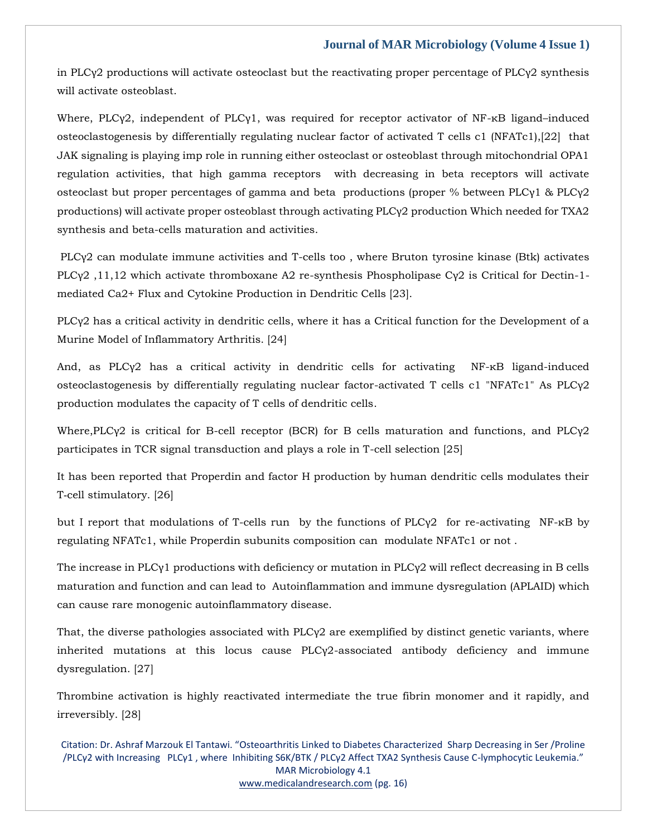in PLCγ2 productions will activate osteoclast but the reactivating proper percentage of PLCγ2 synthesis will activate osteoblast.

Where, PLCγ2, independent of PLCγ1, was required for receptor activator of NF-κB ligand–induced osteoclastogenesis by differentially regulating nuclear factor of activated T cells c1 (NFATc1),[22] that JAK signaling is playing imp role in running either osteoclast or osteoblast through mitochondrial OPA1 regulation activities, that high gamma receptors with decreasing in beta receptors will activate osteoclast but proper percentages of gamma and beta productions (proper % between PLCγ1 & PLCγ2 productions) will activate proper osteoblast through activating PLCγ2 production Which needed for TXA2 synthesis and beta-cells maturation and activities.

PLCγ2 can modulate immune activities and T-cells too , where Bruton tyrosine kinase (Btk) activates PLCγ2 ,11,12 which activate thromboxane A2 re-synthesis Phospholipase Cγ2 is Critical for Dectin-1 mediated Ca2+ Flux and Cytokine Production in Dendritic Cells [23].

PLCγ2 has a critical activity in dendritic cells, where it has a Critical function for the Development of a Murine Model of Inflammatory Arthritis. [24]

And, as PLCγ2 has a critical activity in dendritic cells for activating NF-κB ligand-induced osteoclastogenesis by differentially regulating nuclear factor-activated T cells c1 "NFATc1" As PLCγ2 production modulates the capacity of T cells of dendritic cells.

Where,PLCγ2 is critical for B-cell receptor (BCR) for B cells maturation and functions, and PLCγ2 participates in TCR signal transduction and plays a role in T-cell selection [25]

It has been reported that Properdin and factor H production by human dendritic cells modulates their T‐cell stimulatory. [26]

but I report that modulations of T-cells run by the functions of PLCγ2 for re-activating NF-κB by regulating NFATc1, while Properdin subunits composition can modulate NFATc1 or not .

The increase in PLCγ1 productions with deficiency or mutation in PLCγ2 will reflect decreasing in B cells maturation and function and can lead to Autoinflammation and immune dysregulation (APLAID) which can cause rare monogenic autoinflammatory disease.

That, the diverse pathologies associated with PLCγ2 are exemplified by distinct genetic variants, where inherited mutations at this locus cause PLCγ2-associated antibody deficiency and immune dysregulation. [27]

Thrombine activation is highly reactivated intermediate the true fibrin monomer and it rapidly, and irreversibly. [28]

Citation: Dr. Ashraf Marzouk El Tantawi. "Osteoarthritis Linked to Diabetes Characterized Sharp Decreasing in Ser /Proline /PLCγ2 with Increasing PLCγ1 , where Inhibiting S6K/BTK / PLCγ2 Affect TXA2 Synthesis Cause C-lymphocytic Leukemia." MAR Microbiology 4.1 [www.medicalandresearch.com](http://www.medicalandresearch.com/) (pg. 16)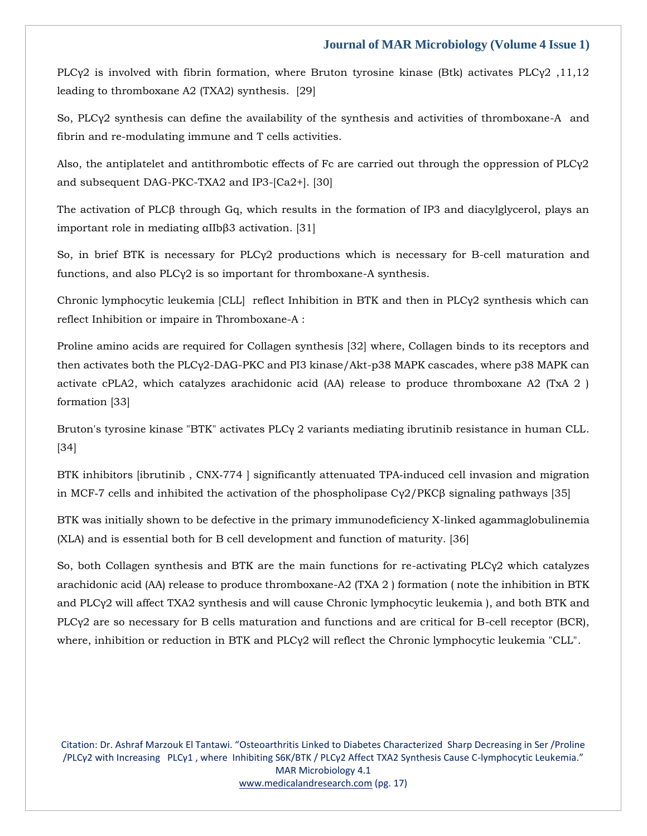PLCγ2 is involved with fibrin formation, where Bruton tyrosine kinase (Btk) activates PLCγ2 ,11,12 leading to thromboxane A2 (TXA2) synthesis. [29]

So, PLCγ2 synthesis can define the availability of the synthesis and activities of thromboxane-A and fibrin and re-modulating immune and T cells activities.

Also, the antiplatelet and antithrombotic effects of Fc are carried out through the oppression of PLCγ2 and subsequent DAG-PKC-TXA2 and IP3-[Ca2+]. [30]

The activation of PLCβ through Gq, which results in the formation of IP3 and diacylglycerol, plays an important role in mediating αIIbβ3 activation. [31]

So, in brief BTK is necessary for PLCγ2 productions which is necessary for B-cell maturation and functions, and also PLCγ2 is so important for thromboxane-A synthesis.

Chronic lymphocytic leukemia [CLL] reflect Inhibition in BTK and then in PLCγ2 synthesis which can reflect Inhibition or impaire in Thromboxane-A :

Proline amino acids are required for Collagen synthesis [32] where, Collagen binds to its receptors and then activates both the PLCγ2-DAG-PKC and PI3 kinase/Akt-p38 MAPK cascades, where p38 MAPK can activate cPLA2, which catalyzes arachidonic acid (AA) release to produce thromboxane A2 (TxA 2 ) formation [33]

Bruton's tyrosine kinase "BTK" activates PLCγ 2 variants mediating ibrutinib resistance in human CLL. [34]

BTK inhibitors [ibrutinib, CNX-774 ] significantly attenuated TPA-induced cell invasion and migration in MCF-7 cells and inhibited the activation of the phospholipase  $C\gamma^2/PKC\beta$  signaling pathways [35]

BTK was initially shown to be defective in the primary immunodeficiency X-linked agammaglobulinemia (XLA) and is essential both for B cell development and function of maturity. [36]

So, both Collagen synthesis and BTK are the main functions for re-activating PLCγ2 which catalyzes arachidonic acid (AA) release to produce thromboxane-A2 (TXA 2 ) formation ( note the inhibition in BTK and PLCγ2 will affect TXA2 synthesis and will cause Chronic lymphocytic leukemia ), and both BTK and PLCγ2 are so necessary for B cells maturation and functions and are critical for B-cell receptor (BCR), where, inhibition or reduction in BTK and PLCγ2 will reflect the Chronic lymphocytic leukemia "CLL".

Citation: Dr. Ashraf Marzouk El Tantawi. "Osteoarthritis Linked to Diabetes Characterized Sharp Decreasing in Ser /Proline /PLCγ2 with Increasing PLCγ1 , where Inhibiting S6K/BTK / PLCγ2 Affect TXA2 Synthesis Cause C-lymphocytic Leukemia." MAR Microbiology 4.1 [www.medicalandresearch.com](http://www.medicalandresearch.com/) (pg. 17)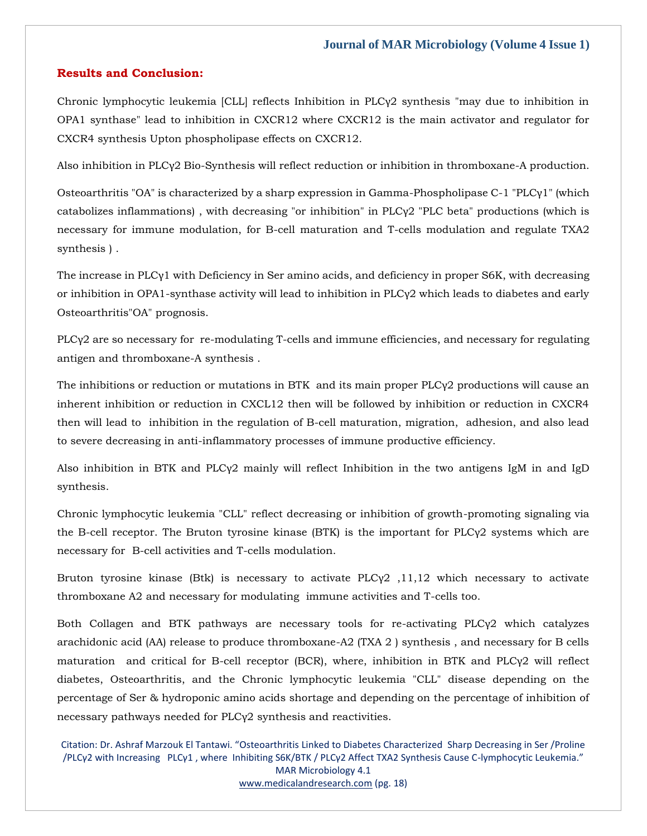# **Results and Conclusion:**

Chronic lymphocytic leukemia [CLL] reflects Inhibition in PLCγ2 synthesis "may due to inhibition in OPA1 synthase" lead to inhibition in CXCR12 where CXCR12 is the main activator and regulator for CXCR4 synthesis Upton phospholipase effects on CXCR12.

Also inhibition in PLCγ2 Bio-Synthesis will reflect reduction or inhibition in thromboxane-A production.

Osteoarthritis "OA" is characterized by a sharp expression in Gamma-Phospholipase C-1 "PLCγ1" (which catabolizes inflammations) , with decreasing "or inhibition" in PLCγ2 "PLC beta" productions (which is necessary for immune modulation, for B-cell maturation and T-cells modulation and regulate TXA2 synthesis ) .

The increase in PLCγ1 with Deficiency in Ser amino acids, and deficiency in proper S6K, with decreasing or inhibition in OPA1-synthase activity will lead to inhibition in PLCγ2 which leads to diabetes and early Osteoarthritis"OA" prognosis.

PLCγ2 are so necessary for re-modulating T-cells and immune efficiencies, and necessary for regulating antigen and thromboxane-A synthesis .

The inhibitions or reduction or mutations in BTK and its main proper PLCγ2 productions will cause an inherent inhibition or reduction in CXCL12 then will be followed by inhibition or reduction in CXCR4 then will lead to inhibition in the regulation of B-cell maturation, migration, adhesion, and also lead to severe decreasing in anti-inflammatory processes of immune productive efficiency.

Also inhibition in BTK and PLCγ2 mainly will reflect Inhibition in the two antigens IgM in and IgD synthesis.

Chronic lymphocytic leukemia "CLL" reflect decreasing or inhibition of growth-promoting signaling via the B-cell receptor. The Bruton tyrosine kinase (BTK) is the important for PLCγ2 systems which are necessary for B-cell activities and T-cells modulation.

Bruton tyrosine kinase (Btk) is necessary to activate  $PLCy2$ , 11,12 which necessary to activate thromboxane A2 and necessary for modulating immune activities and T-cells too.

Both Collagen and BTK pathways are necessary tools for re-activating PLCγ2 which catalyzes arachidonic acid (AA) release to produce thromboxane-A2 (TXA 2 ) synthesis , and necessary for B cells maturation and critical for B-cell receptor (BCR), where, inhibition in BTK and PLCγ2 will reflect diabetes, Osteoarthritis, and the Chronic lymphocytic leukemia "CLL" disease depending on the percentage of Ser & hydroponic amino acids shortage and depending on the percentage of inhibition of necessary pathways needed for PLCγ2 synthesis and reactivities.

Citation: Dr. Ashraf Marzouk El Tantawi. "Osteoarthritis Linked to Diabetes Characterized Sharp Decreasing in Ser /Proline /PLCγ2 with Increasing PLCγ1 , where Inhibiting S6K/BTK / PLCγ2 Affect TXA2 Synthesis Cause C-lymphocytic Leukemia." MAR Microbiology 4.1 [www.medicalandresearch.com](http://www.medicalandresearch.com/) (pg. 18)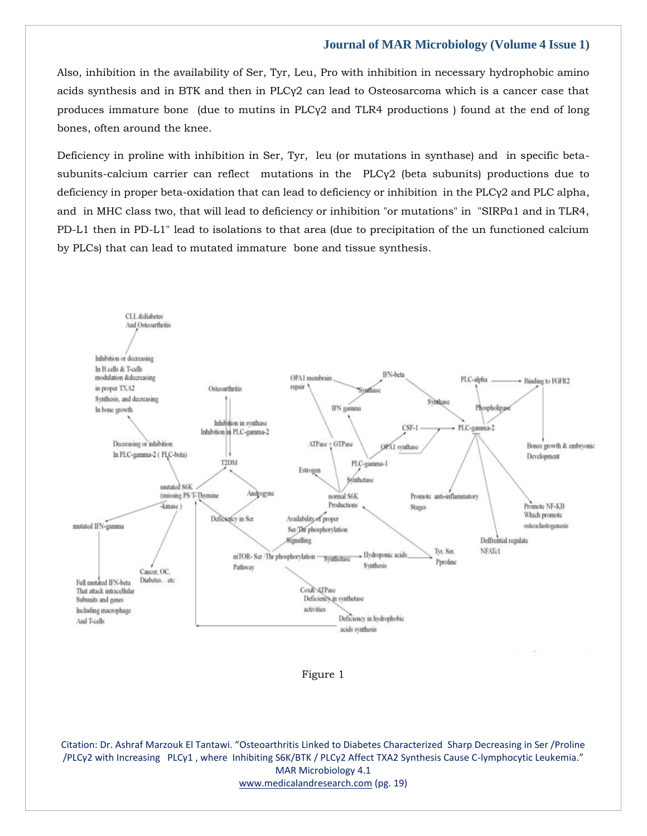Also, inhibition in the availability of Ser, Tyr, Leu, Pro with inhibition in necessary hydrophobic amino acids synthesis and in BTK and then in PLCγ2 can lead to Osteosarcoma which is a cancer case that produces immature bone (due to mutins in PLCγ2 and TLR4 productions ) found at the end of long bones, often around the knee.

Deficiency in proline with inhibition in Ser, Tyr, leu (or mutations in synthase) and in specific betasubunits-calcium carrier can reflect mutations in the PLCγ2 (beta subunits) productions due to deficiency in proper beta-oxidation that can lead to deficiency or inhibition in the PLCγ2 and PLC alpha, and in MHC class two, that will lead to deficiency or inhibition "or mutations" in "SIRPα1 and in TLR4, PD-L1 then in PD-L1" lead to isolations to that area (due to precipitation of the un functioned calcium by PLCs) that can lead to mutated immature bone and tissue synthesis.



Figure 1

Citation: Dr. Ashraf Marzouk El Tantawi. "Osteoarthritis Linked to Diabetes Characterized Sharp Decreasing in Ser /Proline /PLCγ2 with Increasing PLCγ1 , where Inhibiting S6K/BTK / PLCγ2 Affect TXA2 Synthesis Cause C-lymphocytic Leukemia." MAR Microbiology 4.1 [www.medicalandresearch.com](http://www.medicalandresearch.com/) (pg. 19)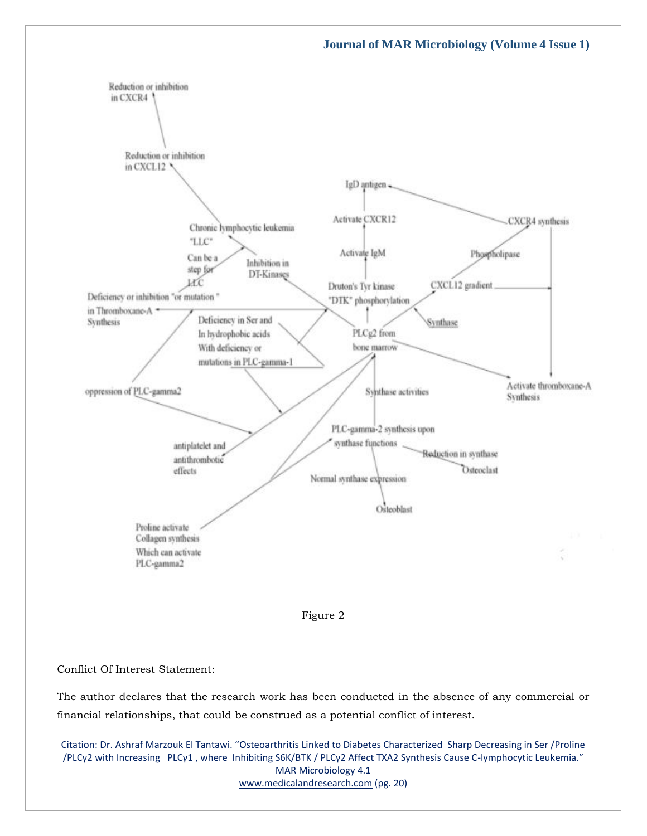



#### Conflict Of Interest Statement:

The author declares that the research work has been conducted in the absence of any commercial or financial relationships, that could be construed as a potential conflict of interest.

Citation: Dr. Ashraf Marzouk El Tantawi. "Osteoarthritis Linked to Diabetes Characterized Sharp Decreasing in Ser /Proline /PLCγ2 with Increasing PLCγ1 , where Inhibiting S6K/BTK / PLCγ2 Affect TXA2 Synthesis Cause C-lymphocytic Leukemia." MAR Microbiology 4.1 [www.medicalandresearch.com](http://www.medicalandresearch.com/) (pg. 20)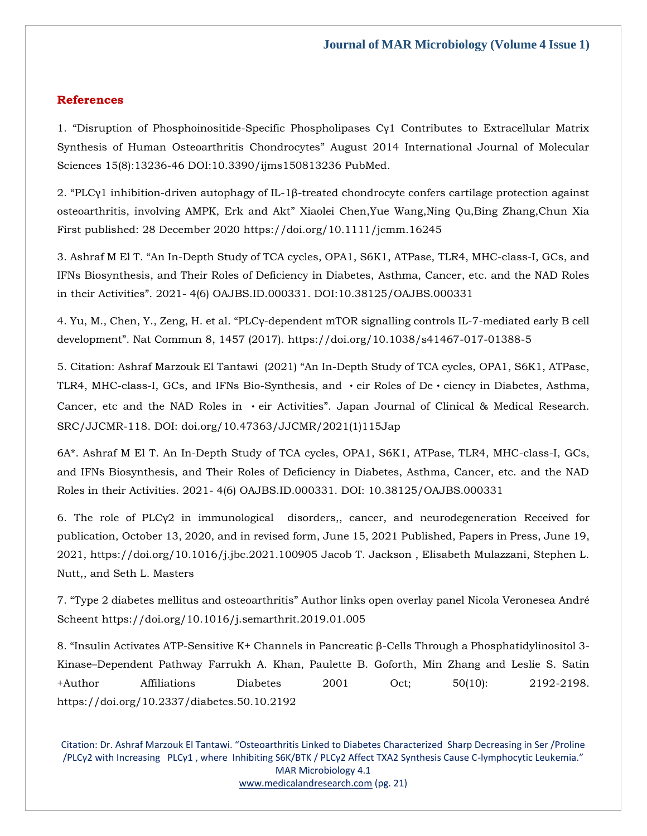# **References**

1. "Disruption of Phosphoinositide-Specific Phospholipases Cγ1 Contributes to Extracellular Matrix Synthesis of Human Osteoarthritis Chondrocytes" August 2014 International Journal of Molecular Sciences 15(8):13236-46 DOI:10.3390/ijms150813236 PubMed.

2. "PLCγ1 inhibition-driven autophagy of IL-1β-treated chondrocyte confers cartilage protection against osteoarthritis, involving AMPK, Erk and Akt" Xiaolei Chen,Yue Wang,Ning Qu,Bing Zhang,Chun Xia First published: 28 December 2020 https://doi.org/10.1111/jcmm.16245

3. Ashraf M El T. "An In-Depth Study of TCA cycles, OPA1, S6K1, ATPase, TLR4, MHC-class-I, GCs, and IFNs Biosynthesis, and Their Roles of Deficiency in Diabetes, Asthma, Cancer, etc. and the NAD Roles in their Activities". 2021- 4(6) OAJBS.ID.000331. DOI:10.38125/OAJBS.000331

4. Yu, M., Chen, Y., Zeng, H. et al. "PLCγ-dependent mTOR signalling controls IL-7-mediated early B cell development". Nat Commun 8, 1457 (2017). https://doi.org/10.1038/s41467-017-01388-5

5. Citation: Ashraf Marzouk El Tantawi (2021) "An In-Depth Study of TCA cycles, OPA1, S6K1, ATPase, TLR4, MHC-class-I, GCs, and IFNs Bio-Synthesis, and  $\cdot$  eir Roles of De $\cdot$  ciency in Diabetes, Asthma, Cancer, etc and the NAD Roles in  $\cdot$ eir Activities". Japan Journal of Clinical & Medical Research. SRC/JJCMR-118. DOI: doi.org/10.47363/JJCMR/2021(1)115Jap

6A\*. Ashraf M El T. An In-Depth Study of TCA cycles, OPA1, S6K1, ATPase, TLR4, MHC-class-I, GCs, and IFNs Biosynthesis, and Their Roles of Deficiency in Diabetes, Asthma, Cancer, etc. and the NAD Roles in their Activities. 2021- 4(6) OAJBS.ID.000331. DOI: 10.38125/OAJBS.000331

6. The role of PLCγ2 in immunological disorders,, cancer, and neurodegeneration Received for publication, October 13, 2020, and in revised form, June 15, 2021 Published, Papers in Press, June 19, 2021,<https://doi.org/10.1016/j.jbc.2021.100905> Jacob T. Jackson , Elisabeth Mulazzani, Stephen L. Nutt,, and Seth L. Masters

7. "Type 2 diabetes mellitus and osteoarthritis" Author links open overlay panel Nicola Veronesea André Scheent https://doi.org/10.1016/j.semarthrit.2019.01.005

8. "Insulin Activates ATP-Sensitive K+ Channels in Pancreatic β-Cells Through a Phosphatidylinositol 3- Kinase–Dependent Pathway Farrukh A. Khan, Paulette B. Goforth, Min Zhang and Leslie S. Satin +Author Affiliations Diabetes 2001 Oct; 50(10): 2192-2198. https://doi.org/10.2337/diabetes.50.10.2192

Citation: Dr. Ashraf Marzouk El Tantawi. "Osteoarthritis Linked to Diabetes Characterized Sharp Decreasing in Ser /Proline /PLCγ2 with Increasing PLCγ1 , where Inhibiting S6K/BTK / PLCγ2 Affect TXA2 Synthesis Cause C-lymphocytic Leukemia." MAR Microbiology 4.1 [www.medicalandresearch.com](http://www.medicalandresearch.com/) (pg. 21)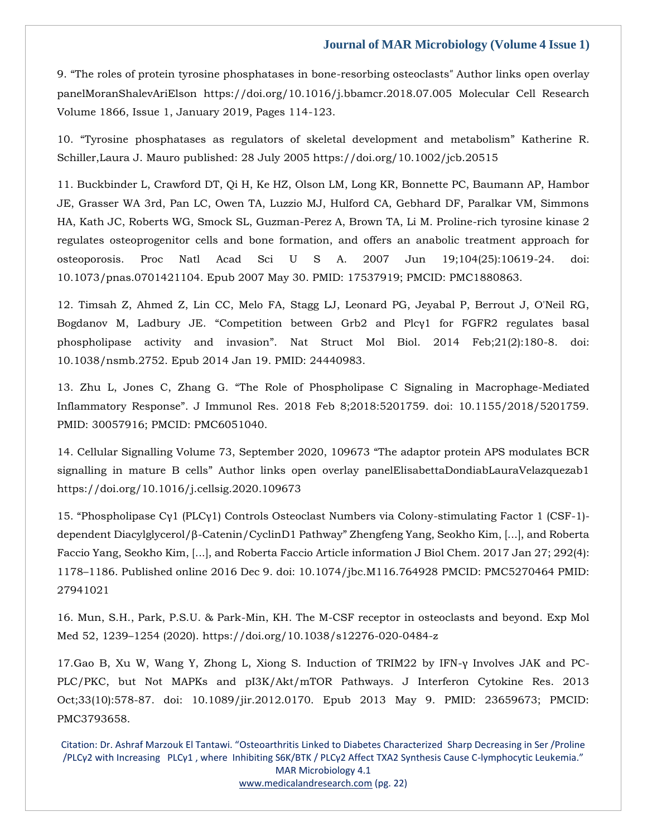9. "The roles of protein tyrosine phosphatases in bone-resorbing osteoclasts" Author links open overlay panelMoranShalevAriElson <https://doi.org/10.1016/j.bbamcr.2018.07.005> Molecular Cell Research Volume 1866, Issue 1, January 2019, Pages 114-123.

10. "Tyrosine phosphatases as regulators of skeletal development and metabolism" Katherine R. Schiller,Laura J. Mauro published: 28 July 2005 https://doi.org/10.1002/jcb.20515

11. Buckbinder L, Crawford DT, Qi H, Ke HZ, Olson LM, Long KR, Bonnette PC, Baumann AP, Hambor JE, Grasser WA 3rd, Pan LC, Owen TA, Luzzio MJ, Hulford CA, Gebhard DF, Paralkar VM, Simmons HA, Kath JC, Roberts WG, Smock SL, Guzman-Perez A, Brown TA, Li M. Proline-rich tyrosine kinase 2 regulates osteoprogenitor cells and bone formation, and offers an anabolic treatment approach for osteoporosis. Proc Natl Acad Sci U S A. 2007 Jun 19;104(25):10619-24. doi: 10.1073/pnas.0701421104. Epub 2007 May 30. PMID: 17537919; PMCID: PMC1880863.

12. Timsah Z, Ahmed Z, Lin CC, Melo FA, Stagg LJ, Leonard PG, Jeyabal P, Berrout J, O'Neil RG, Bogdanov M, Ladbury JE. "Competition between Grb2 and Plcγ1 for FGFR2 regulates basal phospholipase activity and invasion". Nat Struct Mol Biol. 2014 Feb;21(2):180-8. doi: 10.1038/nsmb.2752. Epub 2014 Jan 19. PMID: 24440983.

13. Zhu L, Jones C, Zhang G. "The Role of Phospholipase C Signaling in Macrophage-Mediated Inflammatory Response". J Immunol Res. 2018 Feb 8;2018:5201759. doi: 10.1155/2018/5201759. PMID: 30057916; PMCID: PMC6051040.

14. Cellular Signalling Volume 73, September 2020, 109673 "The adaptor protein APS modulates BCR signalling in mature B cells" Author links open overlay panelElisabettaDondiabLauraVelazquezab1 https://doi.org/10.1016/j.cellsig.2020.109673

15. "Phospholipase Cγ1 (PLCγ1) Controls Osteoclast Numbers via Colony-stimulating Factor 1 (CSF-1) dependent Diacylglycerol/β-Catenin/CyclinD1 Pathway" Zhengfeng Yang, Seokho Kim, [...], and Roberta Faccio Yang, Seokho Kim, [...], and Roberta Faccio Article information J Biol Chem. 2017 Jan 27; 292(4): 1178–1186. Published online 2016 Dec 9. doi: 10.1074/jbc.M116.764928 PMCID: PMC5270464 PMID: 27941021

16. Mun, S.H., Park, P.S.U. & Park-Min, KH. The M-CSF receptor in osteoclasts and beyond. Exp Mol Med 52, 1239–1254 (2020). https://doi.org/10.1038/s12276-020-0484-z

17.Gao B, Xu W, Wang Y, Zhong L, Xiong S. Induction of TRIM22 by IFN-γ Involves JAK and PC-PLC/PKC, but Not MAPKs and pI3K/Akt/mTOR Pathways. J Interferon Cytokine Res. 2013 Oct;33(10):578-87. doi: 10.1089/jir.2012.0170. Epub 2013 May 9. PMID: 23659673; PMCID: PMC3793658.

Citation: Dr. Ashraf Marzouk El Tantawi. "Osteoarthritis Linked to Diabetes Characterized Sharp Decreasing in Ser /Proline /PLCγ2 with Increasing PLCγ1 , where Inhibiting S6K/BTK / PLCγ2 Affect TXA2 Synthesis Cause C-lymphocytic Leukemia." MAR Microbiology 4.1 [www.medicalandresearch.com](http://www.medicalandresearch.com/) (pg. 22)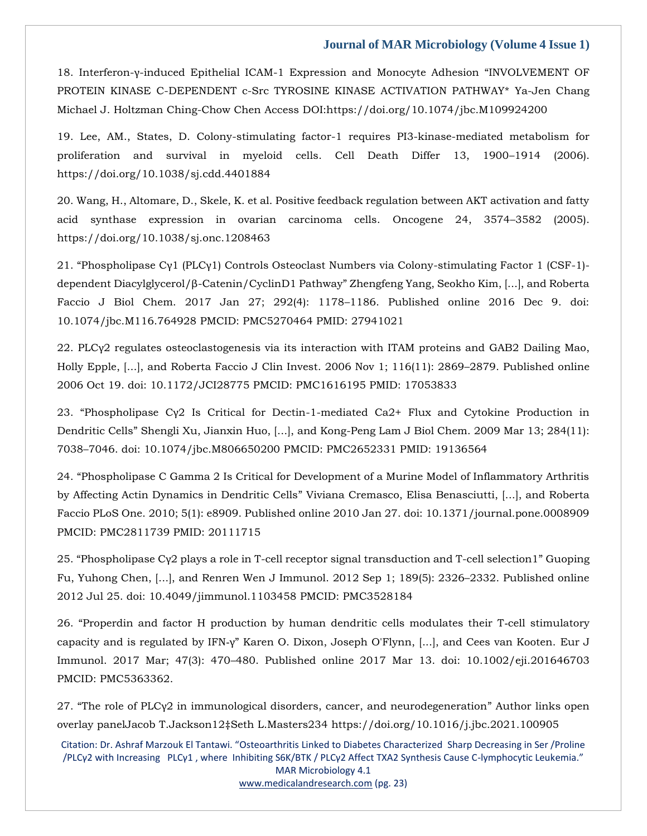18. Interferon-γ-induced Epithelial ICAM-1 Expression and Monocyte Adhesion "INVOLVEMENT OF PROTEIN KINASE C-DEPENDENT c-Src TYROSINE KINASE ACTIVATION PATHWAY\* Ya-Jen Chang Michael J. Holtzman Ching-Chow Chen Access DOI:https://doi.org/10.1074/jbc.M109924200

19. Lee, AM., States, D. Colony-stimulating factor-1 requires PI3-kinase-mediated metabolism for proliferation and survival in myeloid cells. Cell Death Differ 13, 1900–1914 (2006). https://doi.org/10.1038/sj.cdd.4401884

20. Wang, H., Altomare, D., Skele, K. et al. Positive feedback regulation between AKT activation and fatty acid synthase expression in ovarian carcinoma cells. Oncogene 24, 3574–3582 (2005). https://doi.org/10.1038/sj.onc.1208463

21. "Phospholipase Cγ1 (PLCγ1) Controls Osteoclast Numbers via Colony-stimulating Factor 1 (CSF-1) dependent Diacylglycerol/β-Catenin/CyclinD1 Pathway" Zhengfeng Yang, Seokho Kim, [...], and Roberta Faccio J Biol Chem. 2017 Jan 27; 292(4): 1178–1186. Published online 2016 Dec 9. doi: 10.1074/jbc.M116.764928 PMCID: PMC5270464 PMID: 27941021

22. PLCγ2 regulates osteoclastogenesis via its interaction with ITAM proteins and GAB2 Dailing Mao, Holly Epple, [...], and Roberta Faccio J Clin Invest. 2006 Nov 1; 116(11): 2869–2879. Published online 2006 Oct 19. doi: 10.1172/JCI28775 PMCID: PMC1616195 PMID: 17053833

23. "Phospholipase Cγ2 Is Critical for Dectin-1-mediated Ca2+ Flux and Cytokine Production in Dendritic Cells" Shengli Xu, Jianxin Huo, [...], and Kong-Peng Lam J Biol Chem. 2009 Mar 13; 284(11): 7038–7046. doi: 10.1074/jbc.M806650200 PMCID: PMC2652331 PMID: 19136564

24. "Phospholipase C Gamma 2 Is Critical for Development of a Murine Model of Inflammatory Arthritis by Affecting Actin Dynamics in Dendritic Cells" Viviana Cremasco, Elisa Benasciutti, [...], and Roberta Faccio PLoS One. 2010; 5(1): e8909. Published online 2010 Jan 27. doi: 10.1371/journal.pone.0008909 PMCID: PMC2811739 PMID: 20111715

25. "Phospholipase Cγ2 plays a role in T-cell receptor signal transduction and T-cell selection1" Guoping Fu, Yuhong Chen, [...], and Renren Wen J Immunol. 2012 Sep 1; 189(5): 2326–2332. Published online 2012 Jul 25. doi: 10.4049/jimmunol.1103458 PMCID: PMC3528184

26. "Properdin and factor H production by human dendritic cells modulates their T‐cell stimulatory capacity and is regulated by IFN‐γ" Karen O. Dixon, Joseph O'Flynn, [...], and Cees van Kooten. Eur J Immunol. 2017 Mar; 47(3): 470–480. Published online 2017 Mar 13. doi: 10.1002/eji.201646703 PMCID: PMC5363362.

27. "The role of PLCγ2 in immunological disorders, cancer, and neurodegeneration" Author links open overlay panelJacob T.Jackson12‡Seth L.Masters234 https://doi.org/10.1016/j.jbc.2021.100905

Citation: Dr. Ashraf Marzouk El Tantawi. "Osteoarthritis Linked to Diabetes Characterized Sharp Decreasing in Ser /Proline /PLCγ2 with Increasing PLCγ1 , where Inhibiting S6K/BTK / PLCγ2 Affect TXA2 Synthesis Cause C-lymphocytic Leukemia." MAR Microbiology 4.1 [www.medicalandresearch.com](http://www.medicalandresearch.com/) (pg. 23)